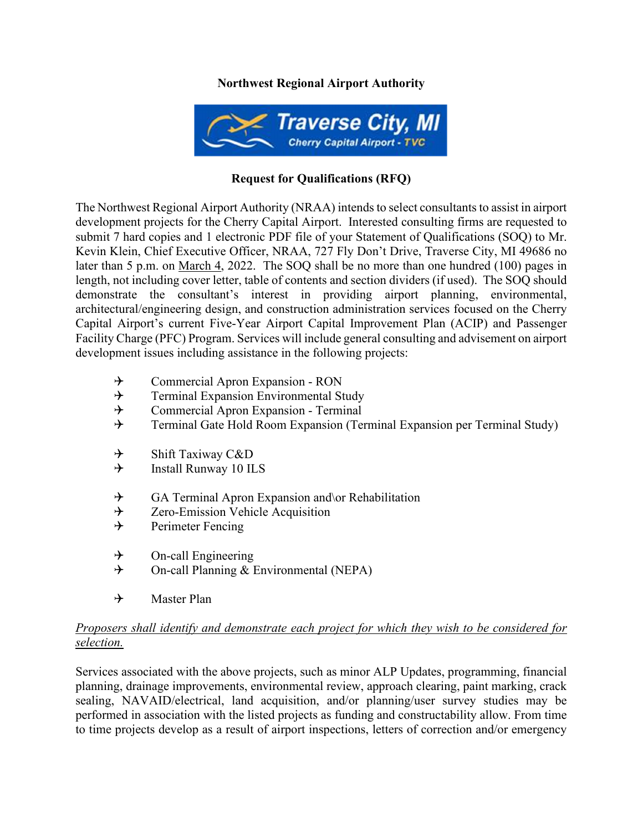## **Northwest Regional Airport Authority**



## **Request for Qualifications (RFQ)**

The Northwest Regional Airport Authority (NRAA) intends to select consultants to assist in airport development projects for the Cherry Capital Airport. Interested consulting firms are requested to submit 7 hard copies and 1 electronic PDF file of your Statement of Qualifications (SOQ) to Mr. Kevin Klein, Chief Executive Officer, NRAA, 727 Fly Don't Drive, Traverse City, MI 49686 no later than 5 p.m. on March 4, 2022. The SOQ shall be no more than one hundred (100) pages in length, not including cover letter, table of contents and section dividers (if used). The SOQ should demonstrate the consultant's interest in providing airport planning, environmental, architectural/engineering design, and construction administration services focused on the Cherry Capital Airport's current Five-Year Airport Capital Improvement Plan (ACIP) and Passenger Facility Charge (PFC) Program. Services will include general consulting and advisement on airport development issues including assistance in the following projects:

- $\rightarrow$  Commercial Apron Expansion RON<br>  $\rightarrow$  Terminal Expansion Environmental St
- Terminal Expansion Environmental Study
- $\rightarrow$  Commercial Apron Expansion Terminal
- $\rightarrow$  Terminal Gate Hold Room Expansion (Terminal Expansion per Terminal Study)
- $\rightarrow$  Shift Taxiway C&D<br>  $\rightarrow$  Install Runway 10 II
- Install Runway 10 ILS
- $\rightarrow$  GA Terminal Apron Expansion and \or Rehabilitation
- $\rightarrow$  Zero-Emission Vehicle Acquisition
- $\rightarrow$  Perimeter Fencing
- $\rightarrow$  On-call Engineering
- $\rightarrow$  On-call Planning & Environmental (NEPA)
- $\rightarrow$  Master Plan

## *Proposers shall identify and demonstrate each project for which they wish to be considered for selection.*

Services associated with the above projects, such as minor ALP Updates, programming, financial planning, drainage improvements, environmental review, approach clearing, paint marking, crack sealing, NAVAID/electrical, land acquisition, and/or planning/user survey studies may be performed in association with the listed projects as funding and constructability allow. From time to time projects develop as a result of airport inspections, letters of correction and/or emergency